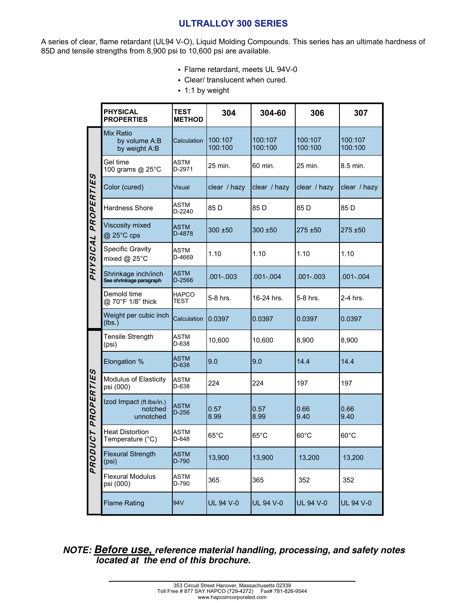# **ULTRALLOY 300 SERIES**

A series of clear, flame retardant (UL94 V-O), Liquid Molding Compounds. This series has an ultimate hardness of 85D and tensile strengths from 8,900 psi to 10,600 psi are available.

- Flame retardant, meets UL 94V-0
- Clear/ translucent when cured.
- $\cdot$  1:1 by weight

|                               | <b>PHYSICAL</b><br><b>PROPERTIES</b>               | <b>TEST</b><br><b>METHOD</b> | 304                | 304-60             | 306                | 307                |
|-------------------------------|----------------------------------------------------|------------------------------|--------------------|--------------------|--------------------|--------------------|
| <b>PROPERTIES</b><br>PHYSICAL | <b>Mix Ratio</b><br>by volume A:B<br>by weight A:B | Calculation                  | 100:107<br>100:100 | 100:107<br>100:100 | 100:107<br>100:100 | 100:107<br>100:100 |
|                               | Gel time<br>100 grams @ 25°C                       | ASTM<br>D-2971               | 25 min.            | 60 min.            | 25 min.            | 8.5 min.           |
|                               | Color (cured)                                      | Visual                       | clear / hazy       | clear / hazy       | clear / hazy       | clear / hazy       |
|                               | <b>Hardness Shore</b>                              | ASTM<br>D-2240               | 85 <sub>D</sub>    | 85 D               | 85 D               | 85 D               |
|                               | Viscosity mixed<br>@ 25°C cps                      | ASTM<br>D-4878               | 300 ±50            | 300 ±50            | 275 ±50            | 275 ±50            |
|                               | <b>Specific Gravity</b><br>mixed $@$ 25 $°C$       | ASTM<br>D-4669               | 1.10               | 1.10               | 1.10               | 1.10               |
|                               | Shrinkage inch/inch<br>See shrinkage paragraph     | ASTM<br>D-2566               | $.001 - .003$      | $.001 - .004$      | $.001 - .003$      | $.001 - .004$      |
|                               | Demold time<br>@ 70°F 1/8" thick                   | <b>HAPCO</b><br>TEST         | 5-8 hrs.           | 16-24 hrs.         | 5-8 hrs.           | 2-4 hrs.           |
|                               | Weight per cubic inch<br>(lbs.)                    | Calculation                  | 0.0397             | 0.0397             | 0.0397             | 0.0397             |
| PROPERTIES<br>L<br>C<br>PRODU | Tensile Strength<br>(psi)                          | ASTM<br>D-638                | 10,600             | 10,600             | 8,900              | 8,900              |
|                               | Elongation %                                       | <b>ASTM</b><br>D-638         | 9.0                | 9.0                | 14.4               | 14.4               |
|                               | Modulus of Elasticity<br>psi (000)                 | ASTM<br>D-638                | 224                | 224                | 197                | 197                |
|                               | Izod Impact (ft.lbs/in.)<br>notched<br>unnotched   | ASTM<br>$D-256$              | 0.57<br>8.99       | 0.57<br>8.99       | 0.66<br>9.40       | 0.66<br>9.40       |
|                               | <b>Heat Distortion</b><br>Temperature (°C)         | ASTM<br>D-648                | $65^{\circ}$ C     | $65^{\circ}$ C     | $60^{\circ}$ C     | $60^{\circ}$ C     |
|                               | <b>Flexural Strength</b><br>(psi)                  | <b>ASTM</b><br>D-790         | 13,900             | 13,900             | 13,200             | 13,200             |
|                               | <b>Flexural Modulus</b><br>psi (000)               | ASTM<br>D-790                | 365                | 365                | 352                | 352                |
|                               | <b>Flame Rating</b>                                | 94V                          | <b>UL 94 V-0</b>   | <b>UL 94 V-0</b>   | UL 94 V-0          | <b>UL 94 V-0</b>   |

*NOTE: Before use, reference material handling, processing, and safety notes located at the end of this brochure.*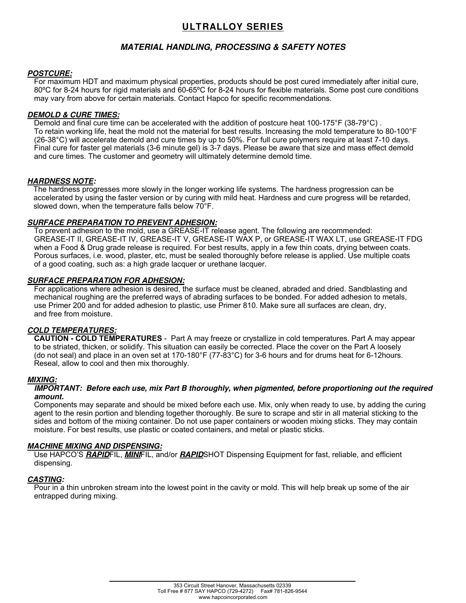# **ULTRALLOY SERIES**

# *MATERIAL HANDLING, PROCESSING & SAFETY NOTES*

## *POSTCURE:*

For maximum HDT and maximum physical properties, products should be post cured immediately after initial cure, 80ºC for 8-24 hours for rigid materials and 60-65ºC for 8-24 hours for flexible materials. Some post cure conditions may vary from above for certain materials. Contact Hapco for specific recommendations.

## *DEMOLD & CURE TIMES:*

Demold and final cure time can be accelerated with the addition of postcure heat 100-175°F (38-79°C) . To retain working life, heat the mold not the material for best results. Increasing the mold temperature to 80-100°F (26-38°C) will accelerate demold and cure times by up to 50%. For full cure polymers require at least 7-10 days. Final cure for faster gel materials (3-6 minute gel) is 3-7 days. Please be aware that size and mass effect demold and cure times. The customer and geometry will ultimately determine demold time.

#### *HARDNESS NOTE:*

 The hardness progresses more slowly in the longer working life systems. The hardness progression can be accelerated by using the faster version or by curing with mild heat. Hardness and cure progress will be retarded, slowed down, when the temperature falls below 70°F.

## *SURFACE PREPARATION TO PREVENT ADHESION:*

To prevent adhesion to the mold, use a GREASE-IT release agent. The following are recommended: GREASE-IT II, GREASE-IT IV, GREASE-IT V, GREASE-IT WAX P, or GREASE-IT WAX LT, use GREASE-IT FDG when a Food & Drug grade release is required. For best results, apply in a few thin coats, drying between coats. Porous surfaces, i.e. wood, plaster, etc, must be sealed thoroughly before release is applied. Use multiple coats of a good coating, such as: a high grade lacquer or urethane lacquer.

## *SURFACE PREPARATION FOR ADHESION:*

For applications where adhesion is desired, the surface must be cleaned, abraded and dried. Sandblasting and mechanical roughing are the preferred ways of abrading surfaces to be bonded. For added adhesion to metals, use Primer 200 and for added adhesion to plastic, use Primer 810. Make sure all surfaces are clean, dry, and free from moisture.

# *COLD TEMPERATURES:*

**CAUTION - COLD TEMPERATURES** - Part A may freeze or crystallize in cold temperatures. Part A may appear to be striated, thicken, or solidify. This situation can easily be corrected. Place the cover on the Part A loosely (do not seal) and place in an oven set at 170-180°F (77-83°C) for 3-6 hours and for drums heat for 6-12hours. Reseal, allow to cool and then mix thoroughly.

#### *MIXING:*

#### *IMPORTANT: Before each use, mix Part B thoroughly, when pigmented, before proportioning out the required amount.*

Components may separate and should be mixed before each use. Mix, only when ready to use, by adding the curing agent to the resin portion and blending together thoroughly. Be sure to scrape and stir in all material sticking to the sides and bottom of the mixing container. Do not use paper containers or wooden mixing sticks. They may contain moisture. For best results, use plastic or coated containers, and metal or plastic sticks.

#### *MACHINE MIXING AND DISPENSING:*

Use HAPCO'S *RAPID*FIL, *MINI*FIL, and/or *RAPID*SHOT Dispensing Equipment for fast, reliable, and efficient dispensing.

#### *CASTING:*

Pour in a thin unbroken stream into the lowest point in the cavity or mold. This will help break up some of the air entrapped during mixing.